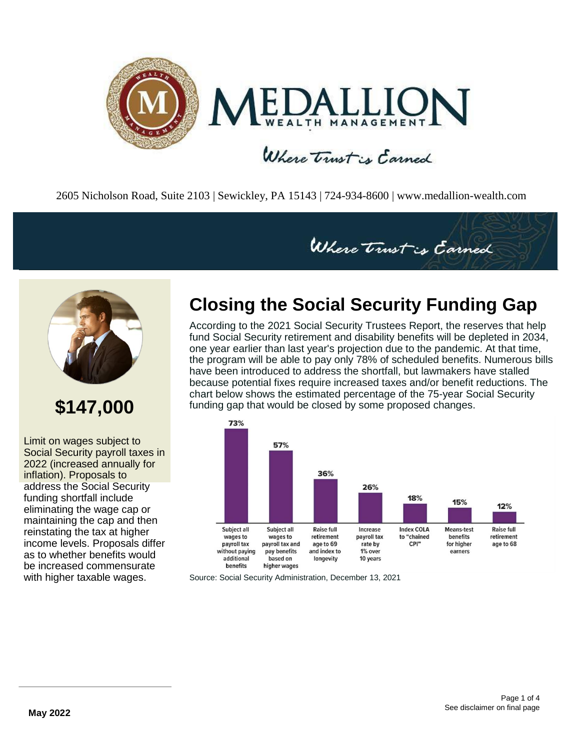

2605 Nicholson Road, Suite 2103 | Sewickley, PA 15143 | 724-934-8600 | [www.medallion-wealth.com](http://www.medallion-wealth.com/)



## **\$147,000**

Limit on wages subject to Social Security payroll taxes in 2022 (increased annually for inflation). Proposals to address the Social Security funding shortfall include eliminating the wage cap or maintaining the cap and then reinstating the tax at higher income levels. Proposals differ as to whether benefits would be increased commensurate with higher taxable wages.

### **Closing the Social Security Funding Gap**

Where trust is Carned

According to the 2021 Social Security Trustees Report, the reserves that help fund Social Security retirement and disability benefits will be depleted in 2034, one year earlier than last year's projection due to the pandemic. At that time, the program will be able to pay only 78% of scheduled benefits. Numerous bills have been introduced to address the shortfall, but lawmakers have stalled because potential fixes require increased taxes and/or benefit reductions. The chart below shows the estimated percentage of the 75-year Social Security funding gap that would be closed by some proposed changes.



Source: Social Security Administration, December 13, 2021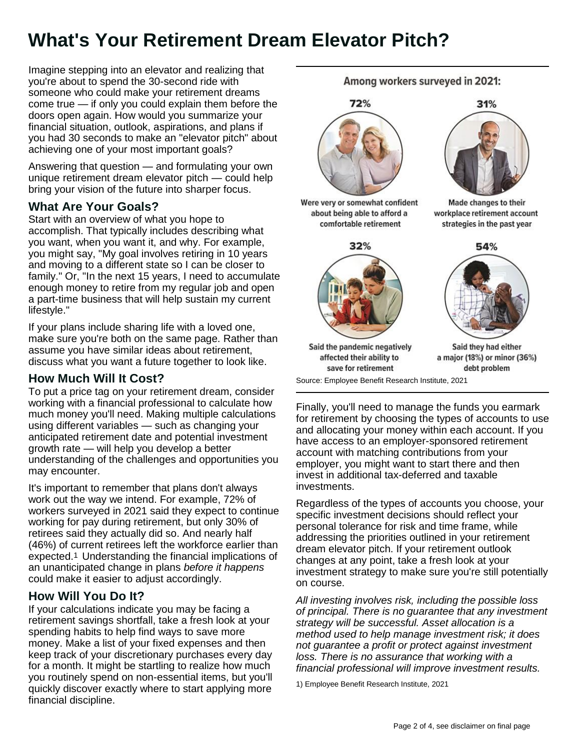## **What's Your Retirement Dream Elevator Pitch?**

Imagine stepping into an elevator and realizing that you're about to spend the 30-second ride with someone who could make your retirement dreams come true — if only you could explain them before the doors open again. How would you summarize your financial situation, outlook, aspirations, and plans if you had 30 seconds to make an "elevator pitch" about achieving one of your most important goals?

Answering that question — and formulating your own unique retirement dream elevator pitch — could help bring your vision of the future into sharper focus.

### **What Are Your Goals?**

Start with an overview of what you hope to accomplish. That typically includes describing what you want, when you want it, and why. For example, you might say, "My goal involves retiring in 10 years and moving to a different state so I can be closer to family." Or, "In the next 15 years, I need to accumulate enough money to retire from my regular job and open a part-time business that will help sustain my current lifestyle."

If your plans include sharing life with a loved one, make sure you're both on the same page. Rather than assume you have similar ideas about retirement, discuss what you want a future together to look like.

### **How Much Will It Cost?**

To put a price tag on your retirement dream, consider working with a financial professional to calculate how much money you'll need. Making multiple calculations using different variables — such as changing your anticipated retirement date and potential investment growth rate — will help you develop a better understanding of the challenges and opportunities you may encounter.

It's important to remember that plans don't always work out the way we intend. For example, 72% of workers surveyed in 2021 said they expect to continue working for pay during retirement, but only 30% of retirees said they actually did so. And nearly half (46%) of current retirees left the workforce earlier than expected.1 Understanding the financial implications of an unanticipated change in plans *before it happens*  could make it easier to adjust accordingly.

### **How Will You Do It?**

If your calculations indicate you may be facing a retirement savings shortfall, take a fresh look at your spending habits to help find ways to save more money. Make a list of your fixed expenses and then keep track of your discretionary purchases every day for a month. It might be startling to realize how much you routinely spend on non-essential items, but you'll quickly discover exactly where to start applying more financial discipline.

Among workers surveyed in 2021:



Were very or somewhat confident about being able to afford a comfortable retirement



31%

Made changes to their workplace retirement account strategies in the past year



Said the pandemic negatively affected their ability to save for retirement

Said they had either a major (18%) or minor (36%) debt problem

Source: Employee Benefit Research Institute, 2021

Finally, you'll need to manage the funds you earmark for retirement by choosing the types of accounts to use and allocating your money within each account. If you have access to an employer-sponsored retirement account with matching contributions from your employer, you might want to start there and then invest in additional tax-deferred and taxable investments.

Regardless of the types of accounts you choose, your specific investment decisions should reflect your personal tolerance for risk and time frame, while addressing the priorities outlined in your retirement dream elevator pitch. If your retirement outlook changes at any point, take a fresh look at your investment strategy to make sure you're still potentially on course.

*All investing involves risk, including the possible loss of principal. There is no guarantee that any investment strategy will be successful. Asset allocation is a method used to help manage investment risk; it does not guarantee a profit or protect against investment loss. There is no assurance that working with a financial professional will improve investment results.*

1) Employee Benefit Research Institute, 2021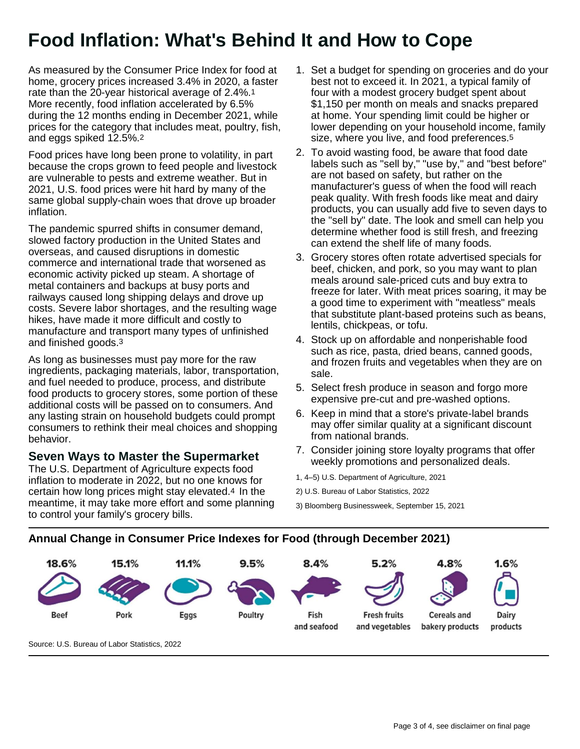## **Food Inflation: What's Behind It and How to Cope**

As measured by the Consumer Price Index for food at home, grocery prices increased 3.4% in 2020, a faster rate than the 20-year historical average of 2.4%.1 More recently, food inflation accelerated by 6.5% during the 12 months ending in December 2021, while prices for the category that includes meat, poultry, fish, and eggs spiked 12.5%.2

Food prices have long been prone to volatility, in part because the crops grown to feed people and livestock are vulnerable to pests and extreme weather. But in 2021, U.S. food prices were hit hard by many of the same global supply-chain woes that drove up broader inflation.

The pandemic spurred shifts in consumer demand, slowed factory production in the United States and overseas, and caused disruptions in domestic commerce and international trade that worsened as economic activity picked up steam. A shortage of metal containers and backups at busy ports and railways caused long shipping delays and drove up costs. Severe labor shortages, and the resulting wage hikes, have made it more difficult and costly to manufacture and transport many types of unfinished and finished goods.3

As long as businesses must pay more for the raw ingredients, packaging materials, labor, transportation, and fuel needed to produce, process, and distribute food products to grocery stores, some portion of these additional costs will be passed on to consumers. And any lasting strain on household budgets could prompt consumers to rethink their meal choices and shopping behavior.

#### **Seven Ways to Master the Supermarket**

The U.S. Department of Agriculture expects food inflation to moderate in 2022, but no one knows for certain how long prices might stay elevated.4 In the meantime, it may take more effort and some planning to control your family's grocery bills.

- 1. Set a budget for spending on groceries and do your best not to exceed it. In 2021, a typical family of four with a modest grocery budget spent about \$1,150 per month on meals and snacks prepared at home. Your spending limit could be higher or lower depending on your household income, family size, where you live, and food preferences.<sup>5</sup>
- 2. To avoid wasting food, be aware that food date labels such as "sell by," "use by," and "best before" are not based on safety, but rather on the manufacturer's guess of when the food will reach peak quality. With fresh foods like meat and dairy products, you can usually add five to seven days to the "sell by" date. The look and smell can help you determine whether food is still fresh, and freezing can extend the shelf life of many foods.
- 3. Grocery stores often rotate advertised specials for beef, chicken, and pork, so you may want to plan meals around sale-priced cuts and buy extra to freeze for later. With meat prices soaring, it may be a good time to experiment with "meatless" meals that substitute plant-based proteins such as beans, lentils, chickpeas, or tofu.
- 4. Stock up on affordable and nonperishable food such as rice, pasta, dried beans, canned goods, and frozen fruits and vegetables when they are on sale.
- 5. Select fresh produce in season and forgo more expensive pre-cut and pre-washed options.
- 6. Keep in mind that a store's private-label brands may offer similar quality at a significant discount from national brands.
- 7. Consider joining store loyalty programs that offer weekly promotions and personalized deals.

1, 4–5) U.S. Department of Agriculture, 2021

2) U.S. Bureau of Labor Statistics, 2022

3) Bloomberg Businessweek, September 15, 2021

#### **Annual Change in Consumer Price Indexes for Food (through December 2021)**



Source: U.S. Bureau of Labor Statistics, 2022